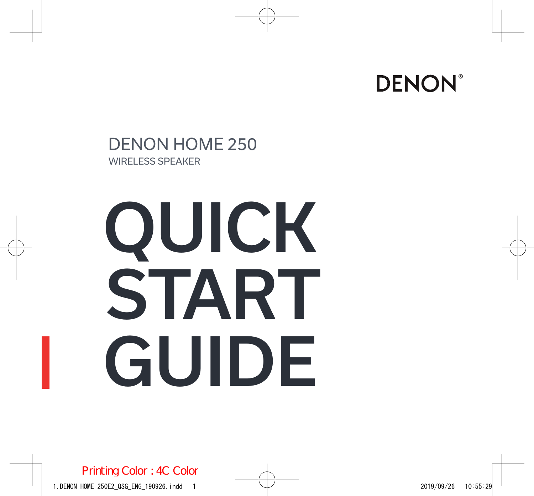

### DENON HOME 250 WIRELESS SPEAKER

# QUICK START GUIDE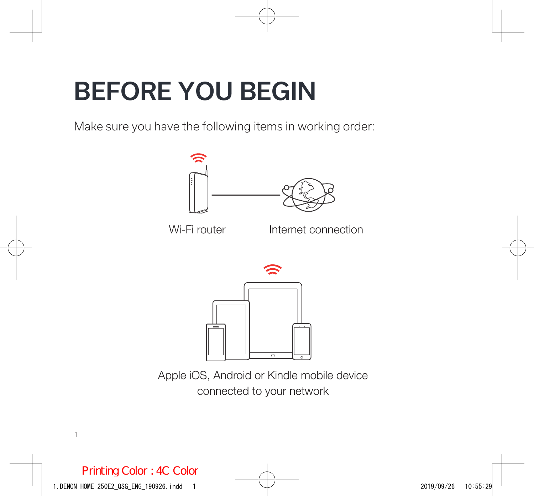### BEFORE YOU BEGIN

Make sure you have the following items in working order:



Apple iOS, Android or Kindle mobile device connected to your network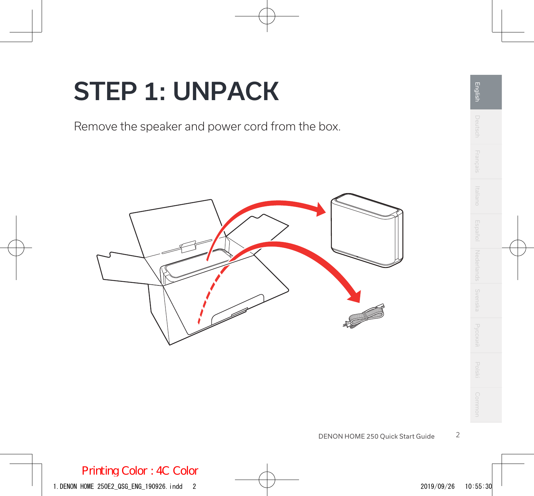### STEP 1: UNPACK

Remove the speaker and power cord from the box.

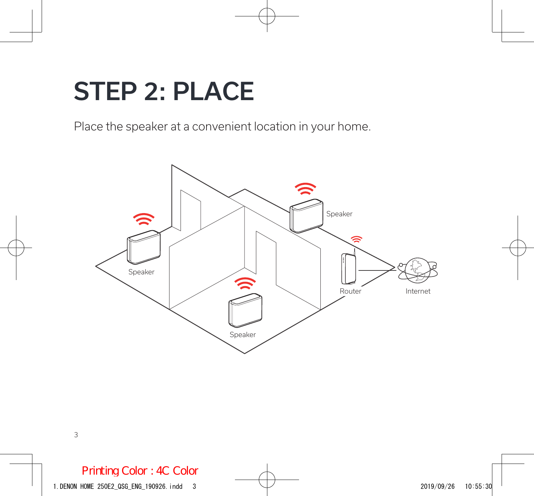### STEP 2: PLACE

Place the speaker at a convenient location in your home.

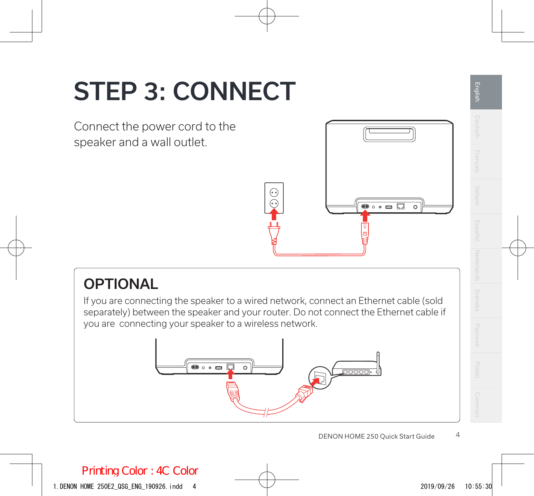# STEP 3: CONNECT

Connect the power cord to the speaker and a wall outlet.



### **OPTIONAL**

If you are connecting the speaker to a wired network, connect an Ethernet cable (sold separately) between the speaker and your router. Do not connect the Ethernet cable if you are connecting your speaker to a wireless network.

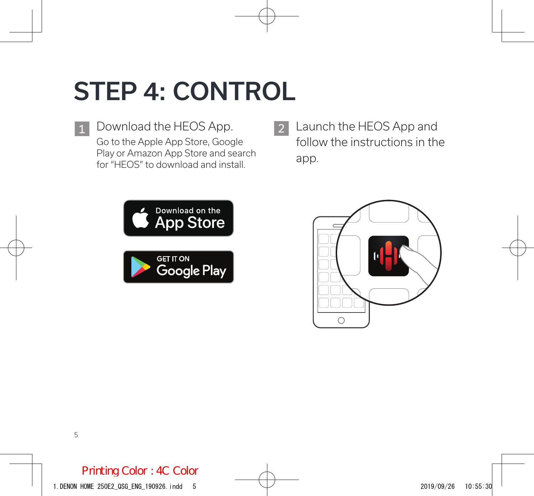# STEP 4: CONTROL

1 Download the HEOS App. 2 Go to the Apple App Store, Google Play or Amazon App Store and search for "HEOS" to download and install.

Launch the HEOS App and follow the instructions in the app.



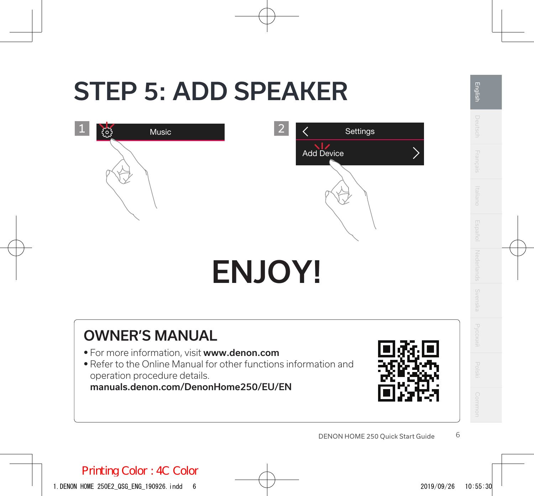### STEP 5: ADD SPEAKER



# ENJOY!

### OWNER'S MANUAL

- For more information, visit www.denon.com
- Refer to the Online Manual for other functions information and operation procedure details.

manuals.denon.com/DenonHome250/EU/EN



English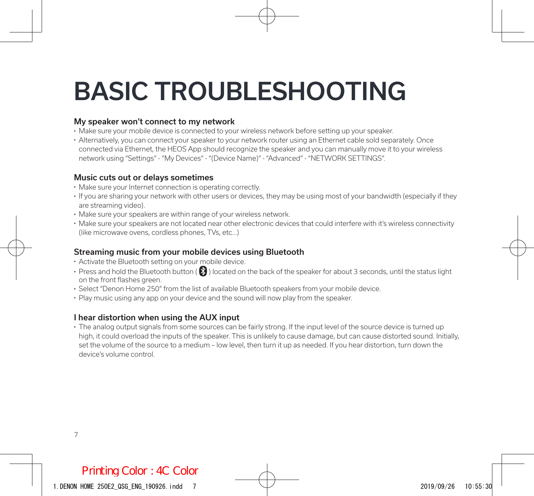# BASIC TROUBLESHOOTING

#### My speaker won't connect to my network

- Make sure your mobile device is connected to your wireless network before setting up your speaker.
- Alternatively, you can connect your speaker to your network router using an Ethernet cable sold separately. Once connected via Ethernet, the HEOS App should recognize the speaker and you can manually move it to your wireless network using "Settings" - "My Devices" - "(Device Name)" - "Advanced" - "NETWORK SETTINGS".

#### Music cuts out or delays sometimes

- Make sure your Internet connection is operating correctly.
- If you are sharing your network with other users or devices, they may be using most of your bandwidth (especially if they are streaming video).
- Make sure your speakers are within range of your wireless network.
- Make sure your speakers are not located near other electronic devices that could interfere with it's wireless connectivity (like microwave ovens, cordless phones, TVs, etc…)

#### Streaming music from your mobile devices using Bluetooth

- Activate the Bluetooth setting on your mobile device.
- Press and hold the Bluetooth button ( $\bigcirc$ ) located on the back of the speaker for about 3 seconds, until the status light on the front flashes green.
- Select "Denon Home 250" from the list of available Bluetooth speakers from your mobile device.
- Play music using any app on your device and the sound will now play from the speaker.

#### I hear distortion when using the AUX input

• The analog output signals from some sources can be fairly strong. If the input level of the source device is turned up high, it could overload the inputs of the speaker. This is unlikely to cause damage, but can cause distorted sound. Initially, set the volume of the source to a medium – low level, then turn it up as needed. If you hear distortion, turn down the device's volume control.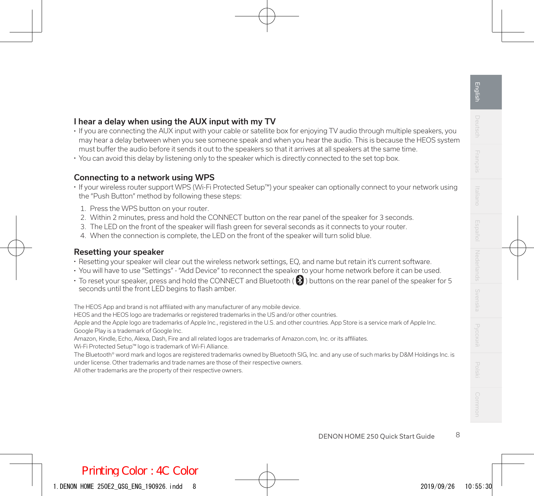#### I hear a delay when using the AUX input with my TV

- If you are connecting the AUX input with your cable or satellite box for enjoying TV audio through multiple speakers, you may hear a delay between when you see someone speak and when you hear the audio. This is because the HEOS system must buffer the audio before it sends it out to the speakers so that it arrives at all speakers at the same time.
- You can avoid this delay by listening only to the speaker which is directly connected to the set top box.

#### Connecting to a network using WPS

- If your wireless router support WPS (Wi-Fi Protected Setup™) your speaker can optionally connect to your network using the "Push Button" method by following these steps:
	- 1. Press the WPS button on your router.
	- 2. Within 2 minutes, press and hold the CONNECT button on the rear panel of the speaker for 3 seconds.
	- 3. The LED on the front of the speaker will flash green for several seconds as it connects to your router.
	- 4. When the connection is complete, the LED on the front of the speaker will turn solid blue.

#### Resetting your speaker

- Resetting your speaker will clear out the wireless network settings, EQ, and name but retain it's current software.
- You will have to use "Settings" "Add Device" to reconnect the speaker to your home network before it can be used.
- To reset your speaker, press and hold the CONNECT and Bluetooth ( $\bigcirc$ ) buttons on the rear panel of the speaker for 5 seconds until the front LED begins to flash amber.

The HEOS App and brand is not affiliated with any manufacturer of any mobile device.

HEOS and the HEOS logo are trademarks or registered trademarks in the US and/or other countries.

Apple and the Apple logo are trademarks of Apple Inc., registered in the U.S. and other countries. App Store is a service mark of Apple Inc. Google Play is a trademark of Google Inc.

Amazon, Kindle, Echo, Alexa, Dash, Fire and all related logos are trademarks of Amazon.com, Inc. or its affiliates.

Wi-Fi Protected Setup™ logo is trademark of Wi-Fi Alliance.

The Bluetooth® word mark and logos are registered trademarks owned by Bluetooth SIG, Inc. and any use of such marks by D&M Holdings Inc. is under license. Other trademarks and trade names are those of their respective owners.

All other trademarks are the property of their respective owners.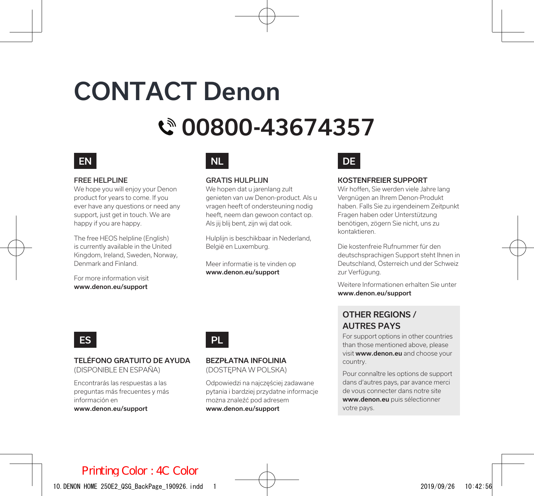# CONTACT Denon € 00800-43674357

### EN

#### FREE HELPLINE

We hope you will enjoy your Denon product for years to come. If you ever have any questions or need any support, just get in touch. We are happy if you are happy.

The free HEOS helpline (English) is currently available in the United Kingdom, Ireland, Sweden, Norway, Denmark and Finland.

For more information visit www.denon.eu/support



#### GRATIS HULPLIJN

We hopen dat u jarenlang zult genieten van uw Denon-product. Als u vragen heeft of ondersteuning nodig heeft, neem dan gewoon contact op. Als jij blij bent, zijn wij dat ook.

Hulplijn is beschikbaar in Nederland, België en Luxemburg.

Meer informatie is te vinden op www.denon.eu/support



#### KOSTENFREIER SUPPORT

Wir hoffen, Sie werden viele Jahre lang Vergnügen an Ihrem Denon-Produkt haben. Falls Sie zu irgendeinem Zeitpunkt Fragen haben oder Unterstützung benötigen, zögern Sie nicht, uns zu kontaktieren.

Die kostenfreie Rufnummer für den deutschsprachigen Support steht Ihnen in Deutschland, Österreich und der Schweiz zur Verfügung.

Weitere Informationen erhalten Sie unter www.denon.eu/support

#### OTHER REGIONS / AUTRES PAYS

For support options in other countries than those mentioned above, please visit www.denon.eu and choose your country.

Pour connaître les options de support dans d'autres pays, par avance merci de vous connecter dans notre site www.denon.eu puis sélectionner votre pays.

### ES

#### TELÉFONO GRATUITO DE AYUDA (DISPONIBLE EN ESPAÑA)

Encontrarás las respuestas a las preguntas más frecuentes y más información en www.denon.eu/support



#### BEZPŁATNA INFOLINIA (DOSTĘPNA W POLSKA)

Odpowiedzi na najczęściej zadawane pytania i bardziej przydatne informacje można znaleźć pod adresem www.denon.eu/support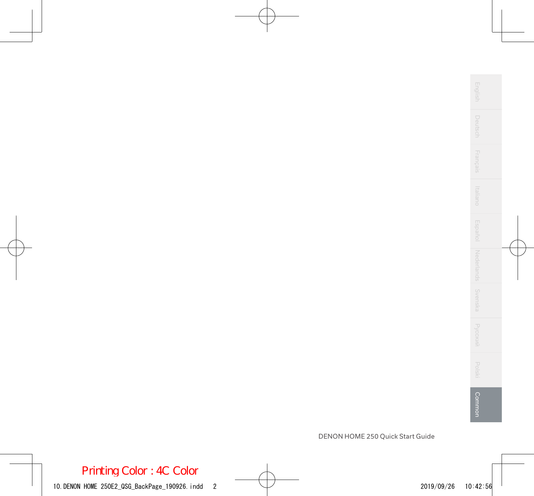| <b>Lindilish</b><br>1 |
|-----------------------|
| <b>LDSTIGO</b>        |
| ĩ<br>۱<br>-rancals    |
| <b>OUBIBITION</b>     |
| <b>LSDanoi</b><br>۱   |
| Nederlands<br>l       |
| <b>SVensk</b><br>ô    |
| ÿ<br><b>VICCK VIV</b> |
| Polski                |
| Common                |